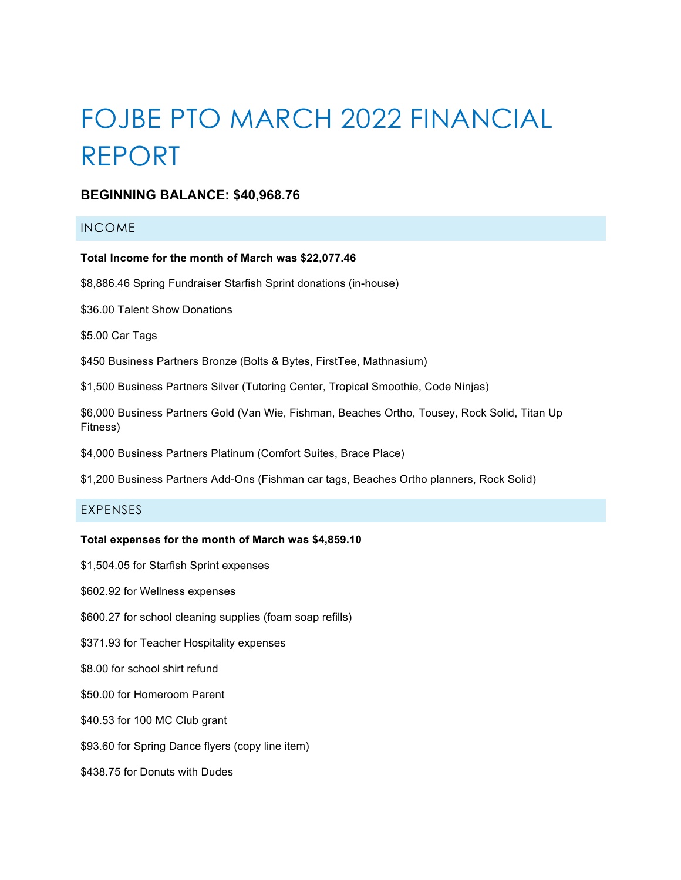# FOJBE PTO MARCH 2022 FINANCIAL REPORT

## **BEGINNING BALANCE: \$40,968.76**

## INCOME

#### **Total Income for the month of March was \$22,077.46**

\$8,886.46 Spring Fundraiser Starfish Sprint donations (in-house)

\$36.00 Talent Show Donations

\$5.00 Car Tags

\$450 Business Partners Bronze (Bolts & Bytes, FirstTee, Mathnasium)

\$1,500 Business Partners Silver (Tutoring Center, Tropical Smoothie, Code Ninjas)

\$6,000 Business Partners Gold (Van Wie, Fishman, Beaches Ortho, Tousey, Rock Solid, Titan Up Fitness)

\$4,000 Business Partners Platinum (Comfort Suites, Brace Place)

\$1,200 Business Partners Add-Ons (Fishman car tags, Beaches Ortho planners, Rock Solid)

### EXPENSES

#### **Total expenses for the month of March was \$4,859.10**

\$1,504.05 for Starfish Sprint expenses

\$602.92 for Wellness expenses

\$600.27 for school cleaning supplies (foam soap refills)

\$371.93 for Teacher Hospitality expenses

\$8.00 for school shirt refund

\$50.00 for Homeroom Parent

\$40.53 for 100 MC Club grant

\$93.60 for Spring Dance flyers (copy line item)

\$438.75 for Donuts with Dudes